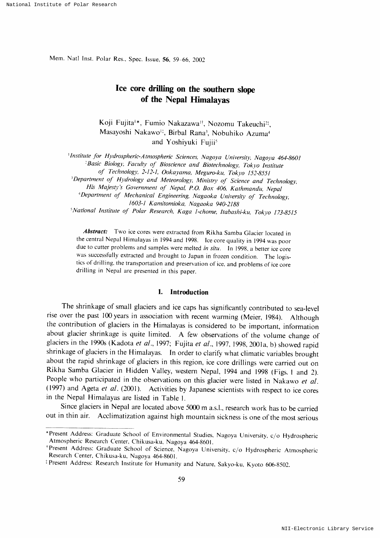Mem. Natl Inst. Polar Res., Spec. Issue, 56, 59-66, 2002

# Ice core drilling on the southern slope of the Nepal Himalayas

Koji Fujita<sup>1</sup>\*, Fumio Nakazawa<sup>1†</sup>, Nozomu Takeuchi<sup>2†</sup>, Masayoshi Nakawo<sup>11</sup>, Birbal Rana<sup>3</sup>, Nobuhiko Azuma<sup>4</sup> and Yoshiyuki Fujii<sup>5</sup>

1Institute for Hydrospheric-Atmospheric Sciences, Nagoya University, Nagoya 464-8601 <sup>2</sup>Basic Biology, Faculty of Bioscience and Biotechnology, Tokyo Institute

of Technology, 2-12-1, Ookayama, Meguro-ku, Tokyo 152-8551

<sup>3</sup>Department of Hydrology and Meteorology, Ministry of Science and Technology,

His Majesty's Government of Nepal, P.O. Box 406, Kathmandu, Nepal

<sup>4</sup>Department of Mechanical Engineering, Nagaoka University of Technology, 1603-1 Kamitomioka, Nagaoka 940-2188

<sup>5</sup>National Institute of Polar Research, Kaga 1-chome, Itabashi-ku, Tokyo 173-8515

Abstract: Two ice cores were extracted from Rikha Samba Glacier located in the central Nepal Himalayas in 1994 and 1998. Ice core quality in 1994 was poor due to cutter problems and samples were melted in situ. In 1998, a better ice core was successfully extracted and brought to Japan in frozen condition. The logistics of drilling, the transportation and preservation of ice, and problems of ice core drilling in Nepal are presented in this paper.

#### 1. Introduction

The shrinkage of small glaciers and ice caps has significantly contributed to sea-level rise over the past 100 years in association with recent warming (Meier, 1984). Although the contribution of glaciers in the Himalayas is considered to be important, information about glacier shrinkage is quite limited. A few observations of the volume change of glaciers in the 1990s (Kadota et al., 1997; Fujita et al., 1997, 1998, 2001a, b) showed rapid shrinkage of glaciers in the Himalayas. In order to clarify what climatic variables brought about the rapid shrinkage of glaciers in this region, ice core drillings were carried out on Rikha Samba Glacier in Hidden Valley, western Nepal, 1994 and 1998 (Figs. 1 and 2). People who participated in the observations on this glacier were listed in Nakawo et al. (1997) and Ageta et al. (2001). Activities by Japanese scientists with respect to ice cores in the Nepal Himalayas are listed in Table 1.

Since glaciers in Nepal are located above 5000 m a.s.l., research work has to be carried out in thin air. Acclimatization against high mountain sickness is one of the most serious

<sup>\*</sup>Present Address: Graduate School of Environmental Studies, Nagoya University, c/o Hydrospheric Atmospheric Research Center, Chikusa-ku, Nagoya 464-8601.

<sup>\*</sup>Present Address: Graduate School of Science, Nagoya University, c/o Hydrospheric Atmospheric Research Center, Chikusa-ku, Nagoya 464-8601.

<sup>&</sup>lt;sup>‡</sup> Present Address: Research Institute for Humanity and Nature, Sakyo-ku, Kyoto 606-8502.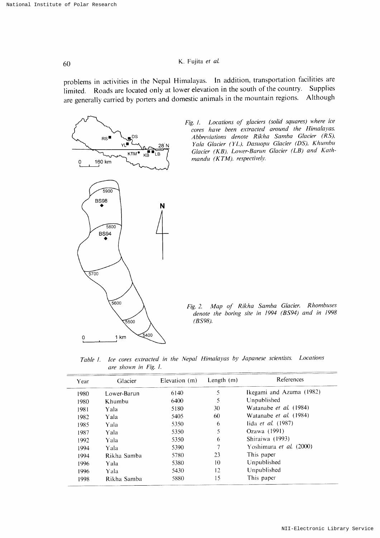# 60 K. Fujitaet aL

problems in activities in the Nepal Himalayas. In addition, transportation facilities are limited. Roads are located only at lower elevation in the south of the country are generally carried by porters and domestic animals in the mountain regions. Although Supplies



Fig. 1. Locations of glaciers (solid squares) where ice cores have been extracted around the Himalayas. Abbreviations denote Rikha Samba Glacier (RS), Yala Glacier (YL), Dasuopu Glacier (DS), Khumbu Glacier (KB), Lower-Barun Glacier (LB) and Kathmandu (KTM), respectively.

Fig. 2. Map of Rikha Samba Glacier. Rhombuse denote the boring site in 1994 (BS94) and in 1998  $(BSS98)$ .

Table 1. Ice cores extracted in the Nepal Himalayas by Japanese scientists. Loc are shown in Fig. 1.

| Year | Glacier     | Elevation (m) | Length $(m)$ | References                     |
|------|-------------|---------------|--------------|--------------------------------|
| 1980 | Lower-Barun | 6140          | 5            | Ikegami and Azuma (1982)       |
| 1980 | Khumbu      | 6400          | 5            | Unpublished                    |
| 1981 | Yala        | 5180          | 30           | Watanabe <i>et al.</i> (1984)  |
| 1982 | Yala        | 5405          | 60           | Watanabe <i>et al.</i> (1984)  |
| 1985 | Yala        | 5350          | 6            | lida <i>et al.</i> $(1987)$    |
| 1987 | Yala        | 5350          | 5            | Ozawa (1991)                   |
| 1992 | Yala        | 5350          | 6            | Shiraiwa (1993)                |
| 1994 | Yala        | 5390          | 7            | Yoshimura <i>et al.</i> (2000) |
| 1994 | Rikha Samba | 5780          | 23           | This paper                     |
| 1996 | Yala        | 5380          | 10           | Unpublished                    |
| 1996 | Yala        | 5430          | 12           | Unpublished                    |
| 1998 | Rikha Samba | 5880          | 15           | This paper                     |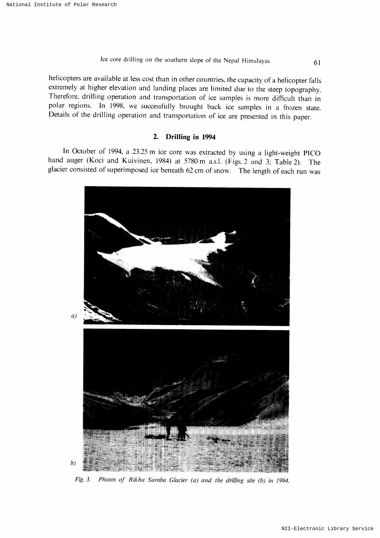# lce core drilling on the southern slope of the Nepal Himalayas 61

helicopters are available at less cost than in other countries, the capacity of a helicopter falls extremely at higher elevation and landing places are limited due to the steep topography. Therefore, drilling operation and transportation of ice samples is more difficult than in polar regions. In 1998, we successfully brought back ice samples in a frozen state. Details of the drilling operation and transportation of ice are presented in this paper.

#### 2. Drilling in 1994

In October of 1994, a 23.25 m ice core was extracted by using a light-weight PICO hand auger (Koci and Kuivinen, 1984) at 5780 m a.s.l. (Figs. 2 and 3; Table 2). The glacier consisted of superimposed ice beneath 62 cm of snow. The length of each run was



Fig. 3. Photos of Rikha Samba Glacier (a) and the drilling site (b) in 1994.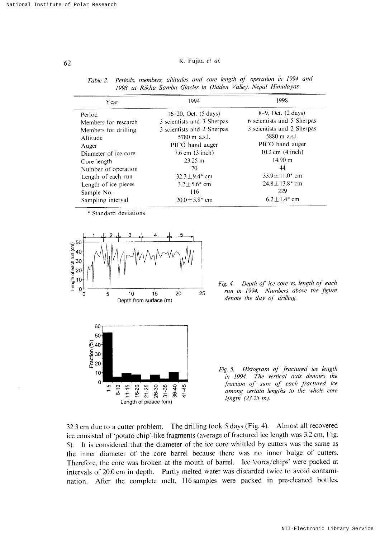#### K. Fujita et al.

| Year                 | 1994                           | 1998                            |  |
|----------------------|--------------------------------|---------------------------------|--|
| Period               | 16–20, Oct. $(5 \text{ days})$ | $8-9$ , Oct. $(2 \text{ days})$ |  |
| Members for research | 3 scientists and 3 Sherpas     | 6 scientists and 5 Sherpas      |  |
| Members for drilling | 3 scientists and 2 Sherpas     | 3 scientists and 2 Sherpas      |  |
| Altitude             | 5780 m a.s.l.                  | 5880 m a.s.l.                   |  |
| Auger                | PICO hand auger                | PICO hand auger                 |  |
| Diameter of ice core | $7.6$ cm $(3$ inch)            | 10.2 cm $(4$ inch)              |  |
| Core length          | $23.25 \text{ m}$              | $14.90 \text{ m}$               |  |
| Number of operation  | 70.                            | 44                              |  |
| Length of each run   | $32.3 \pm 9.4$ cm              | $33.9 \pm 11.0^*$ cm            |  |
| Length of ice pieces | $3.2 \pm 5.6^*$ cm             | $24.8 \pm 13.8^*$ cm            |  |
| Sample No.           | 116                            | 229                             |  |
| Sampling interval    | $20.0 + 5.8$ * cm              | $6.2 + 1.4$ cm                  |  |

Periods, members, altitudes and core length of operation in 1994 and Table 2. 1998 at Rikha Samba Glacier in Hidden Valley, Nepal Himalayas.

\* Standard deviations



Fig. 4. Depth of ice core vs. length of each run in 1994. Numbers above the figure denote the day of drilling.

Fig. 5. Histogram of fractured ice length in 1994. The vertical axis denotes the fraction of sum of each fractured ice among certain lengths to the whole core length  $(23.25 m)$ .

32.3 cm due to a cutter problem. The drilling took 5 days (Fig. 4). Almost all recovered ice consisted of 'potato chip'-like fragments (average of fractured ice length was 3.2 cm, Fig. 5). It is considered that the diameter of the ice core whittled by cutters was the same as the inner diameter of the core barrel because there was no inner bulge of cutters. Therefore, the core was broken at the mouth of barrel. Ice 'cores/chips' were packed at intervals of 20.0 cm in depth. Partly melted water was discarded twice to avoid contamination. After the complete melt, 116 samples were packed in pre-cleaned bottles.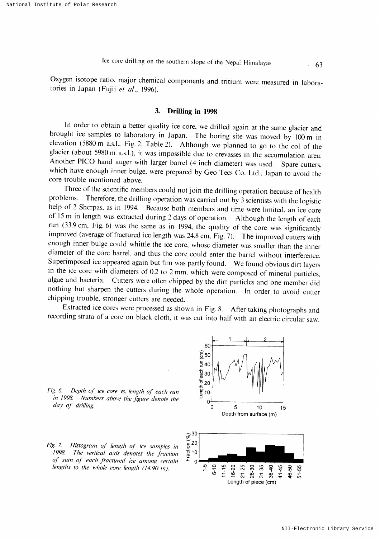Oxygen isotope ratio, major chemical components and tritium were measured in laboraın Japan (Fujii *et al.*, 1996).

#### 3. Drilling in 1998

In order to obtain a better quality ice core, we drilled again at the same glacier and brought ice samples to laboratory in Japan. The boring site was moved by 100 m in elevation (5880 m a.s.l., Fig. 2, Table 2). Although we planned to go to the col of the glacier (about 5980 m a.s.l.), it was impossible due to crevasses in the accumulation area. Another PICO hand auger with larger barrel (4 inch diameter) was used. Spare cutters, which have enough inner bulge, were prepared by Geo Tecs Co. Ltd., Japan to avoid the core trouble mentioned above.

Three of the scientific members could not join the drilling operation because of health problems. Therefore, the drilling operation was carried out by 3 scientists with the logistic help of 2 Sherpas, as in 1994. Because both members and time were limited, an ice core of 15 m in length was extracted during 2 days of operation. Although the length of each run (33.9 cm, Fig. 6) was the same as in 1994, the quality of the core was significantly improved (average of fractured ice length was 24.8 cm, Fig. 7). The improved cutters with enough inner bulge could whittle the ice core, whose diameter was smaller than the inner diameter of the core barrel, and thus the core could enter the barrel without interference. Superimposed ice appeared again but firn was partly found. We found obvious dirt layers in the ice core with diameters of  $0.2$  to  $2$  mm, which were composed of mineral particles, algae and bacteria. Cutters were often chipped by the dirt particles and one member did nothing but sharpen the cutters during the whole operation. In order to avoid cutter chipping trouble, stronger cutters are needed.

Extracted ice cores were processed as shown in Fig. 8. After taking photographs and recording strata of a core on black cloth, it was cut into half with an electric circular saw.

Fig. 6. Depth of ice core vs. length of each ru in 1998. Numbers above the figure denote the day of drilling.



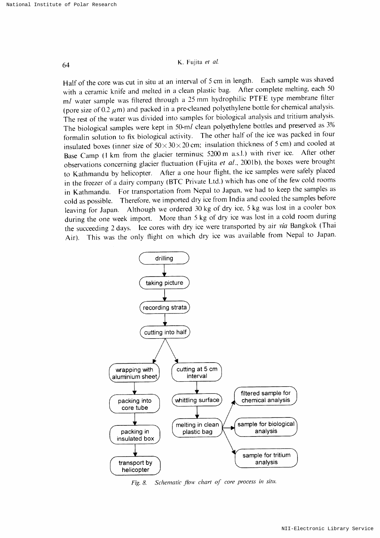# 64 K, Fujitaet aL

Half of the core was cut in situ at an interval of 5 cm in length. Each sample was shaved with a ceramic knife and melted in a clean plastic bag. After complete melting, each 50 ml water sample was filtered through a 25 mm hydrophilic PTFE type membrane filter (pore size of 0.2  $\mu$ m) and packed in a pre-cleaned polyethylene bottle for chemical analysis. The rest of the water was divided into samples for biological analysis and tritium analysis. The biological samples were kept in 50-ml clean polyethylene bottles and preserved as  $3\%$ formalin solution to fix biological activity. The other half of the ice was packed in four insulated boxes (inner size of  $50 \times 30 \times 20$  cm; insulation thickness of 5 cm) and cooled at Base Camp (1 km from the glacier terminus; 5200 m a.s.l.) with river ice. After other observations concerning glacier fluctuation (Fujita et al., 2001b), the boxes were brought to Kathmandu by helicopter. After a one hour flight, the ice samples were safely placed in the freezer of a dairy company (BTC Private Ltd.) which has one of the few cold rooms in Kathmandu. For transportation from Nepal to Japan, we had to keep the samples as cold as possible. Therefore, we imported dry ice from India and cooled the samples before leaving for Japan. Although we ordered 30 kg of dry ice, 5 kg was lost in a cooler box during the one week import. More than 5 kg of dry ice was lost in a cold room during the succeeding 2 days. Ice cores with dry ice were transported by air via Bangkok (Thai Air). This was the only flight on which dry ice was available from Nepal to Japan.



Fig. 8. Schematic flow chart of core process in situ.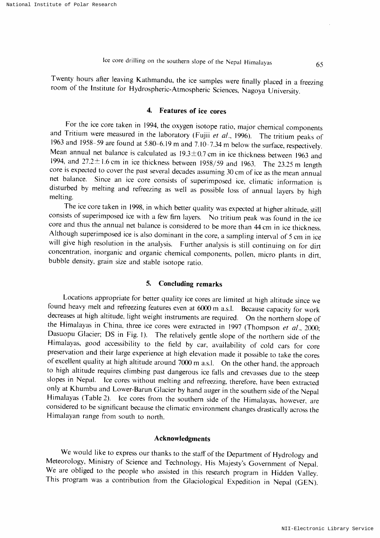Twenty hours after leaving Kathmandu, the ice samples were finally placed in a freezing room of the Institute for Hydrospheric-Atmospheric Sciences, Nagoya University.

## 4. Features of ice cores

For the ice core taken in 1994, the oxygen isotope ratio, major chemical components and Tritium were measured in the laboratory (Fujii et al., 1996). The tritium peaks of 1963 and 1958-59 are found at 5.80-6.19 m and 7.10-7.34 m below the surface, respectively. Mean annual net balance is calculated as  $19.3 \pm 0.7$  cm in ice thickness between 1963 and 1994, and  $27.2 \pm 1.6$  cm in ice thickness between 1958/59 and 1963. The 23.25 m length core is expected to cover the past several decades assuming 30 cm of ice as the mean annual net balance. Since an ice core consists of superimposed ice, climatic information is disturbed by melting and refreezing as well as possible loss of annual layers by high melting,

The ice core taken in 1998, in which better quality was expected at higher altitude, still consists of superimposed ice with a few firn layers. No tritium peak was found in the ice core and thus the annual net balance is considered to be more than 44 cm in ice thickness. Although superimposed ice is also dominant in the core, a sampling interval of 5 cm in ice will give high resolution in the analysis. Further analysis is still continuing on for dirt concentration, inorganic and organic chemical components, pollen, micro plants in dirt, bubble density, grain size and stable isotope ratio.

### 5. Concluding remarks

Locations appropriate for better quality ice cores are limited at high altitude since we found heavy melt and refreezing features even at  $6000$  m a.s.l. Because capacity for work decreases at high altitude, light weight Dasuopu Glacier; DS in Fig. 1). The relatively gentle slope of the northern side of the Himalayas, good accessibility to the field by car, availability of cold cars for core preservation and their large experience at high elevation made it possible to take the cores of excellent quality at high altitude around 7000 m a.s.l. On the other hand, the approach to high altitude requires climbing past dangerous ice falls and crevasses due to the steep slopes in Nepal. Ice cores without melting and refreezing, therefore, have been extracted only at Khumbu and Lower-Barun Glacier by hand auger in the southern side of the Nepal Himalayas (Table 2). Ice cores from the southern side of the Himalayas, however, are considered to be significant because the climatic environment changes drastically across the Himalayan range from south to north.

#### Acknowledgments

We would like to express our thanks to the staff of the Department of Hydrology and Meteorology, Ministry of Science and Technology, His Majesty's Government of Nepal. We are obliged to the peoplewho assisted in this research program in Hidden Valley. This program was a contribution from the Glaciological Expedition in Nepal (GEN).